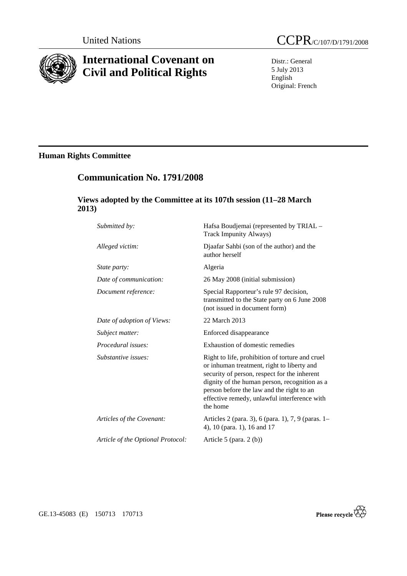

# **International Covenant on Civil and Political Rights**

Distr.: General 5 July 2013 English Original: French

# **Human Rights Committee**

# **Communication No. 1791/2008**

## **Views adopted by the Committee at its 107th session (11–28 March 2013)**

| Submitted by:                     | Hafsa Boudjemai (represented by TRIAL -<br><b>Track Impunity Always)</b>                                                                                                                                                                                                                                |
|-----------------------------------|---------------------------------------------------------------------------------------------------------------------------------------------------------------------------------------------------------------------------------------------------------------------------------------------------------|
| Alleged victim:                   | Djaafar Sahbi (son of the author) and the<br>author herself                                                                                                                                                                                                                                             |
| <i>State party:</i>               | Algeria                                                                                                                                                                                                                                                                                                 |
| Date of communication:            | 26 May 2008 (initial submission)                                                                                                                                                                                                                                                                        |
| Document reference:               | Special Rapporteur's rule 97 decision,<br>transmitted to the State party on 6 June 2008<br>(not issued in document form)                                                                                                                                                                                |
| Date of adoption of Views:        | 22 March 2013                                                                                                                                                                                                                                                                                           |
| Subject matter:                   | Enforced disappearance                                                                                                                                                                                                                                                                                  |
| <i>Procedural issues:</i>         | Exhaustion of domestic remedies                                                                                                                                                                                                                                                                         |
| Substantive issues:               | Right to life, prohibition of torture and cruel<br>or inhuman treatment, right to liberty and<br>security of person, respect for the inherent<br>dignity of the human person, recognition as a<br>person before the law and the right to an<br>effective remedy, unlawful interference with<br>the home |
| Articles of the Covenant:         | Articles 2 (para. 3), 6 (para. 1), 7, 9 (paras. 1–<br>4), 10 (para. 1), 16 and 17                                                                                                                                                                                                                       |
| Article of the Optional Protocol: | Article 5 (para. $2(b)$ )                                                                                                                                                                                                                                                                               |

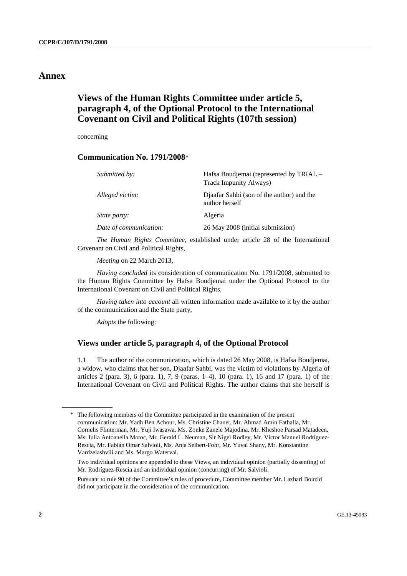## **Annex**

## **Views of the Human Rights Committee under article 5, paragraph 4, of the Optional Protocol to the International Covenant on Civil and Political Rights (107th session)**

concerning

## **Communication No. 1791/2008**\*

| Submitted by:          | Hafsa Boudjemai (represented by TRIAL –<br>Track Impunity Always) |
|------------------------|-------------------------------------------------------------------|
| Alleged victim:        | Djaafar Sahbi (son of the author) and the<br>author herself       |
| <i>State party:</i>    | Algeria                                                           |
| Date of communication: | 26 May 2008 (initial submission)                                  |

*The Human Rights Committee*, established under article 28 of the International Covenant on Civil and Political Rights,

*Meeting* on 22 March 2013,

*Having concluded* its consideration of communication No. 1791/2008, submitted to the Human Rights Committee by Hafsa Boudjemai under the Optional Protocol to the International Covenant on Civil and Political Rights,

*Having taken into account* all written information made available to it by the author of the communication and the State party,

*Adopts* the following:

### **Views under article 5, paragraph 4, of the Optional Protocol**

1.1 The author of the communication, which is dated 26 May 2008, is Hafsa Boudjemai, a widow, who claims that her son, Djaafar Sahbi, was the victim of violations by Algeria of articles 2 (para. 3), 6 (para. 1), 7, 9 (paras. 1–4), 10 (para. 1), 16 and 17 (para. 1) of the International Covenant on Civil and Political Rights. The author claims that she herself is

<sup>\*</sup> The following members of the Committee participated in the examination of the present communication: Mr. Yadh Ben Achour, Ms. Christine Chanet, Mr. Ahmad Amin Fathalla, Mr. Cornelis Flinterman, Mr. Yuji Iwasawa, Ms. Zonke Zanele Majodina, Mr. Kheshoe Parsad Matadeen, Ms. Iulia Antoanella Motoc, Mr. Gerald L. Neuman, Sir Nigel Rodley, Mr. Victor Manuel Rodríguez-Rescia, Mr. Fabián Omar Salvioli, Ms. Anja Seibert-Fohr, Mr. Yuval Shany, Mr. Konstantine Vardzelashvili and Ms. Margo Waterval.

Two individual opinions are appended to these Views, an individual opinion (partially dissenting) of Mr. Rodríguez-Rescia and an individual opinion (concurring) of Mr. Salvioli.

Pursuant to rule 90 of the Committee's rules of procedure, Committee member Mr. Lazhari Bouzid did not participate in the consideration of the communication.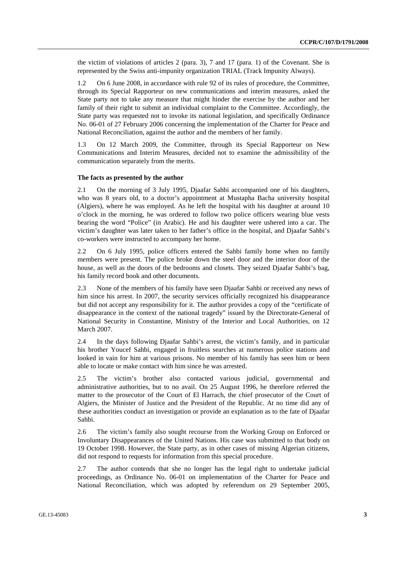the victim of violations of articles 2 (para. 3), 7 and 17 (para. 1) of the Covenant. She is represented by the Swiss anti-impunity organization TRIAL (Track Impunity Always).

1.2 On 6 June 2008, in accordance with rule 92 of its rules of procedure, the Committee, through its Special Rapporteur on new communications and interim measures, asked the State party not to take any measure that might hinder the exercise by the author and her family of their right to submit an individual complaint to the Committee. Accordingly, the State party was requested not to invoke its national legislation, and specifically Ordinance No. 06-01 of 27 February 2006 concerning the implementation of the Charter for Peace and National Reconciliation, against the author and the members of her family.

1.3 On 12 March 2009, the Committee, through its Special Rapporteur on New Communications and Interim Measures, decided not to examine the admissibility of the communication separately from the merits.

#### **The facts as presented by the author**

2.1 On the morning of 3 July 1995, Djaafar Sahbi accompanied one of his daughters, who was 8 years old, to a doctor's appointment at Mustapha Bacha university hospital (Algiers), where he was employed. As he left the hospital with his daughter at around 10 o'clock in the morning, he was ordered to follow two police officers wearing blue vests bearing the word "Police" (in Arabic). He and his daughter were ushered into a car. The victim's daughter was later taken to her father's office in the hospital, and Djaafar Sahbi's co-workers were instructed to accompany her home.

2.2 On 6 July 1995, police officers entered the Sahbi family home when no family members were present. The police broke down the steel door and the interior door of the house, as well as the doors of the bedrooms and closets. They seized Djaafar Sahbi's bag, his family record book and other documents.

2.3 None of the members of his family have seen Djaafar Sahbi or received any news of him since his arrest. In 2007, the security services officially recognized his disappearance but did not accept any responsibility for it. The author provides a copy of the "certificate of disappearance in the context of the national tragedy" issued by the Directorate-General of National Security in Constantine, Ministry of the Interior and Local Authorities, on 12 March 2007.

2.4 In the days following Djaafar Sahbi's arrest, the victim's family, and in particular his brother Youcef Sahbi, engaged in fruitless searches at numerous police stations and looked in vain for him at various prisons. No member of his family has seen him or been able to locate or make contact with him since he was arrested.

2.5 The victim's brother also contacted various judicial, governmental and administrative authorities, but to no avail. On 25 August 1996, he therefore referred the matter to the prosecutor of the Court of El Harrach, the chief prosecutor of the Court of Algiers, the Minister of Justice and the President of the Republic. At no time did any of these authorities conduct an investigation or provide an explanation as to the fate of Djaafar Sahbi.

2.6 The victim's family also sought recourse from the Working Group on Enforced or Involuntary Disappearances of the United Nations. His case was submitted to that body on 19 October 1998. However, the State party, as in other cases of missing Algerian citizens, did not respond to requests for information from this special procedure.

2.7 The author contends that she no longer has the legal right to undertake judicial proceedings, as Ordinance No. 06-01 on implementation of the Charter for Peace and National Reconciliation, which was adopted by referendum on 29 September 2005,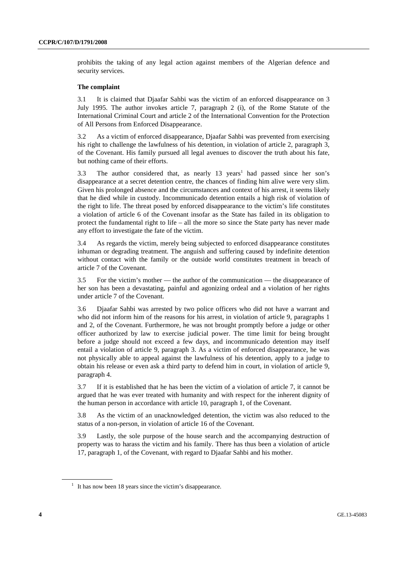prohibits the taking of any legal action against members of the Algerian defence and security services.

#### **The complaint**

3.1 It is claimed that Djaafar Sahbi was the victim of an enforced disappearance on 3 July 1995. The author invokes article 7, paragraph 2 (i), of the Rome Statute of the International Criminal Court and article 2 of the International Convention for the Protection of All Persons from Enforced Disappearance.

3.2 As a victim of enforced disappearance, Djaafar Sahbi was prevented from exercising his right to challenge the lawfulness of his detention, in violation of article 2, paragraph 3, of the Covenant. His family pursued all legal avenues to discover the truth about his fate, but nothing came of their efforts.

3.3 The author considered that, as nearly 13 years<sup>1</sup> had passed since her son's disappearance at a secret detention centre, the chances of finding him alive were very slim. Given his prolonged absence and the circumstances and context of his arrest, it seems likely that he died while in custody. Incommunicado detention entails a high risk of violation of the right to life. The threat posed by enforced disappearance to the victim's life constitutes a violation of article 6 of the Covenant insofar as the State has failed in its obligation to protect the fundamental right to life – all the more so since the State party has never made any effort to investigate the fate of the victim.

3.4 As regards the victim, merely being subjected to enforced disappearance constitutes inhuman or degrading treatment. The anguish and suffering caused by indefinite detention without contact with the family or the outside world constitutes treatment in breach of article 7 of the Covenant.

3.5 For the victim's mother — the author of the communication — the disappearance of her son has been a devastating, painful and agonizing ordeal and a violation of her rights under article 7 of the Covenant.

3.6 Djaafar Sahbi was arrested by two police officers who did not have a warrant and who did not inform him of the reasons for his arrest, in violation of article 9, paragraphs 1 and 2, of the Covenant. Furthermore, he was not brought promptly before a judge or other officer authorized by law to exercise judicial power. The time limit for being brought before a judge should not exceed a few days, and incommunicado detention may itself entail a violation of article 9, paragraph 3. As a victim of enforced disappearance, he was not physically able to appeal against the lawfulness of his detention, apply to a judge to obtain his release or even ask a third party to defend him in court, in violation of article 9, paragraph 4.

3.7 If it is established that he has been the victim of a violation of article 7, it cannot be argued that he was ever treated with humanity and with respect for the inherent dignity of the human person in accordance with article 10, paragraph 1, of the Covenant.

3.8 As the victim of an unacknowledged detention, the victim was also reduced to the status of a non-person, in violation of article 16 of the Covenant.

3.9 Lastly, the sole purpose of the house search and the accompanying destruction of property was to harass the victim and his family. There has thus been a violation of article 17, paragraph 1, of the Covenant, with regard to Djaafar Sahbi and his mother.

 $<sup>1</sup>$  It has now been 18 years since the victim's disappearance.</sup>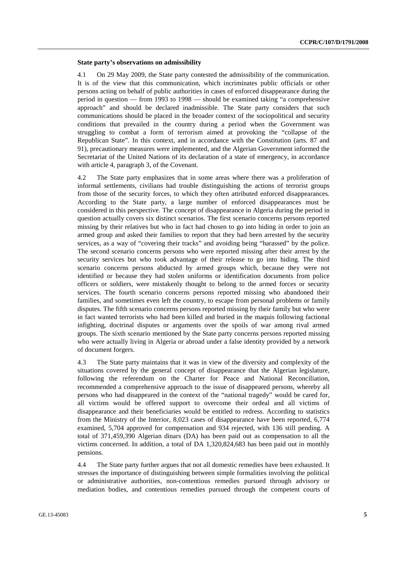#### **State party's observations on admissibility**

4.1 On 29 May 2009, the State party contested the admissibility of the communication. It is of the view that this communication, which incriminates public officials or other persons acting on behalf of public authorities in cases of enforced disappearance during the period in question — from 1993 to 1998 — should be examined taking "a comprehensive approach" and should be declared inadmissible. The State party considers that such communications should be placed in the broader context of the sociopolitical and security conditions that prevailed in the country during a period when the Government was struggling to combat a form of terrorism aimed at provoking the "collapse of the Republican State". In this context, and in accordance with the Constitution (arts. 87 and 91), precautionary measures were implemented, and the Algerian Government informed the Secretariat of the United Nations of its declaration of a state of emergency, in accordance with article 4, paragraph 3, of the Covenant.

4.2 The State party emphasizes that in some areas where there was a proliferation of informal settlements, civilians had trouble distinguishing the actions of terrorist groups from those of the security forces, to which they often attributed enforced disappearances. According to the State party, a large number of enforced disappearances must be considered in this perspective. The concept of disappearance in Algeria during the period in question actually covers six distinct scenarios. The first scenario concerns persons reported missing by their relatives but who in fact had chosen to go into hiding in order to join an armed group and asked their families to report that they had been arrested by the security services, as a way of "covering their tracks" and avoiding being "harassed" by the police. The second scenario concerns persons who were reported missing after their arrest by the security services but who took advantage of their release to go into hiding. The third scenario concerns persons abducted by armed groups which, because they were not identified or because they had stolen uniforms or identification documents from police officers or soldiers, were mistakenly thought to belong to the armed forces or security services. The fourth scenario concerns persons reported missing who abandoned their families, and sometimes even left the country, to escape from personal problems or family disputes. The fifth scenario concerns persons reported missing by their family but who were in fact wanted terrorists who had been killed and buried in the maquis following factional infighting, doctrinal disputes or arguments over the spoils of war among rival armed groups. The sixth scenario mentioned by the State party concerns persons reported missing who were actually living in Algeria or abroad under a false identity provided by a network of document forgers.

4.3 The State party maintains that it was in view of the diversity and complexity of the situations covered by the general concept of disappearance that the Algerian legislature, following the referendum on the Charter for Peace and National Reconciliation, recommended a comprehensive approach to the issue of disappeared persons, whereby all persons who had disappeared in the context of the "national tragedy" would be cared for, all victims would be offered support to overcome their ordeal and all victims of disappearance and their beneficiaries would be entitled to redress. According to statistics from the Ministry of the Interior, 8,023 cases of disappearance have been reported, 6,774 examined, 5,704 approved for compensation and 934 rejected, with 136 still pending. A total of 371,459,390 Algerian dinars (DA) has been paid out as compensation to all the victims concerned. In addition, a total of DA 1,320,824,683 has been paid out in monthly pensions.

4.4 The State party further argues that not all domestic remedies have been exhausted. It stresses the importance of distinguishing between simple formalities involving the political or administrative authorities, non-contentious remedies pursued through advisory or mediation bodies, and contentious remedies pursued through the competent courts of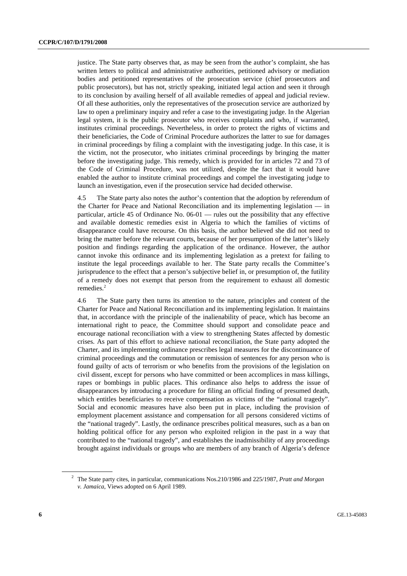justice. The State party observes that, as may be seen from the author's complaint, she has written letters to political and administrative authorities, petitioned advisory or mediation bodies and petitioned representatives of the prosecution service (chief prosecutors and public prosecutors), but has not, strictly speaking, initiated legal action and seen it through to its conclusion by availing herself of all available remedies of appeal and judicial review. Of all these authorities, only the representatives of the prosecution service are authorized by law to open a preliminary inquiry and refer a case to the investigating judge. In the Algerian legal system, it is the public prosecutor who receives complaints and who, if warranted, institutes criminal proceedings. Nevertheless, in order to protect the rights of victims and their beneficiaries, the Code of Criminal Procedure authorizes the latter to sue for damages in criminal proceedings by filing a complaint with the investigating judge. In this case, it is the victim, not the prosecutor, who initiates criminal proceedings by bringing the matter before the investigating judge. This remedy, which is provided for in articles 72 and 73 of the Code of Criminal Procedure, was not utilized, despite the fact that it would have enabled the author to institute criminal proceedings and compel the investigating judge to launch an investigation, even if the prosecution service had decided otherwise.

4.5 The State party also notes the author's contention that the adoption by referendum of the Charter for Peace and National Reconciliation and its implementing legislation — in particular, article 45 of Ordinance No. 06-01 — rules out the possibility that any effective and available domestic remedies exist in Algeria to which the families of victims of disappearance could have recourse. On this basis, the author believed she did not need to bring the matter before the relevant courts, because of her presumption of the latter's likely position and findings regarding the application of the ordinance. However, the author cannot invoke this ordinance and its implementing legislation as a pretext for failing to institute the legal proceedings available to her. The State party recalls the Committee's jurisprudence to the effect that a person's subjective belief in, or presumption of, the futility of a remedy does not exempt that person from the requirement to exhaust all domestic remedies.<sup>2</sup>

4.6 The State party then turns its attention to the nature, principles and content of the Charter for Peace and National Reconciliation and its implementing legislation. It maintains that, in accordance with the principle of the inalienability of peace, which has become an international right to peace, the Committee should support and consolidate peace and encourage national reconciliation with a view to strengthening States affected by domestic crises. As part of this effort to achieve national reconciliation, the State party adopted the Charter, and its implementing ordinance prescribes legal measures for the discontinuance of criminal proceedings and the commutation or remission of sentences for any person who is found guilty of acts of terrorism or who benefits from the provisions of the legislation on civil dissent, except for persons who have committed or been accomplices in mass killings, rapes or bombings in public places. This ordinance also helps to address the issue of disappearances by introducing a procedure for filing an official finding of presumed death, which entitles beneficiaries to receive compensation as victims of the "national tragedy". Social and economic measures have also been put in place, including the provision of employment placement assistance and compensation for all persons considered victims of the "national tragedy". Lastly, the ordinance prescribes political measures, such as a ban on holding political office for any person who exploited religion in the past in a way that contributed to the "national tragedy", and establishes the inadmissibility of any proceedings brought against individuals or groups who are members of any branch of Algeria's defence

<sup>2</sup> The State party cites, in particular, communications Nos.210/1986 and 225/1987, *Pratt and Morgan v. Jamaica*, Views adopted on 6 April 1989.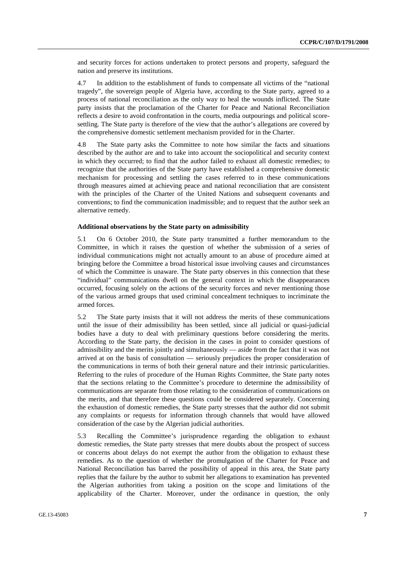and security forces for actions undertaken to protect persons and property, safeguard the nation and preserve its institutions.

4.7 In addition to the establishment of funds to compensate all victims of the "national tragedy", the sovereign people of Algeria have, according to the State party, agreed to a process of national reconciliation as the only way to heal the wounds inflicted. The State party insists that the proclamation of the Charter for Peace and National Reconciliation reflects a desire to avoid confrontation in the courts, media outpourings and political scoresettling. The State party is therefore of the view that the author's allegations are covered by the comprehensive domestic settlement mechanism provided for in the Charter.

4.8 The State party asks the Committee to note how similar the facts and situations described by the author are and to take into account the sociopolitical and security context in which they occurred; to find that the author failed to exhaust all domestic remedies; to recognize that the authorities of the State party have established a comprehensive domestic mechanism for processing and settling the cases referred to in these communications through measures aimed at achieving peace and national reconciliation that are consistent with the principles of the Charter of the United Nations and subsequent covenants and conventions; to find the communication inadmissible; and to request that the author seek an alternative remedy.

#### **Additional observations by the State party on admissibility**

5.1 On 6 October 2010, the State party transmitted a further memorandum to the Committee, in which it raises the question of whether the submission of a series of individual communications might not actually amount to an abuse of procedure aimed at bringing before the Committee a broad historical issue involving causes and circumstances of which the Committee is unaware. The State party observes in this connection that these "individual" communications dwell on the general context in which the disappearances occurred, focusing solely on the actions of the security forces and never mentioning those of the various armed groups that used criminal concealment techniques to incriminate the armed forces.

5.2 The State party insists that it will not address the merits of these communications until the issue of their admissibility has been settled, since all judicial or quasi-judicial bodies have a duty to deal with preliminary questions before considering the merits. According to the State party, the decision in the cases in point to consider questions of admissibility and the merits jointly and simultaneously — aside from the fact that it was not arrived at on the basis of consultation — seriously prejudices the proper consideration of the communications in terms of both their general nature and their intrinsic particularities. Referring to the rules of procedure of the Human Rights Committee, the State party notes that the sections relating to the Committee's procedure to determine the admissibility of communications are separate from those relating to the consideration of communications on the merits, and that therefore these questions could be considered separately. Concerning the exhaustion of domestic remedies, the State party stresses that the author did not submit any complaints or requests for information through channels that would have allowed consideration of the case by the Algerian judicial authorities.

5.3 Recalling the Committee's jurisprudence regarding the obligation to exhaust domestic remedies, the State party stresses that mere doubts about the prospect of success or concerns about delays do not exempt the author from the obligation to exhaust these remedies. As to the question of whether the promulgation of the Charter for Peace and National Reconciliation has barred the possibility of appeal in this area, the State party replies that the failure by the author to submit her allegations to examination has prevented the Algerian authorities from taking a position on the scope and limitations of the applicability of the Charter. Moreover, under the ordinance in question, the only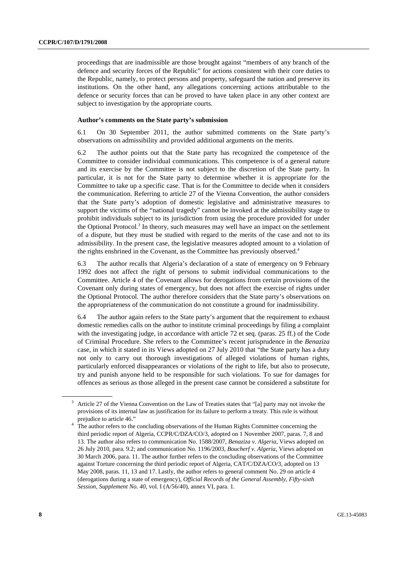proceedings that are inadmissible are those brought against "members of any branch of the defence and security forces of the Republic" for actions consistent with their core duties to the Republic, namely, to protect persons and property, safeguard the nation and preserve its institutions. On the other hand, any allegations concerning actions attributable to the defence or security forces that can be proved to have taken place in any other context are subject to investigation by the appropriate courts.

#### **Author's comments on the State party's submission**

6.1 On 30 September 2011, the author submitted comments on the State party's observations on admissibility and provided additional arguments on the merits.

6.2 The author points out that the State party has recognized the competence of the Committee to consider individual communications. This competence is of a general nature and its exercise by the Committee is not subject to the discretion of the State party. In particular, it is not for the State party to determine whether it is appropriate for the Committee to take up a specific case. That is for the Committee to decide when it considers the communication. Referring to article 27 of the Vienna Convention, the author considers that the State party's adoption of domestic legislative and administrative measures to support the victims of the "national tragedy" cannot be invoked at the admissibility stage to prohibit individuals subject to its jurisdiction from using the procedure provided for under the Optional Protocol.<sup>3</sup> In theory, such measures may well have an impact on the settlement of a dispute, but they must be studied with regard to the merits of the case and not to its admissibility. In the present case, the legislative measures adopted amount to a violation of the rights enshrined in the Covenant, as the Committee has previously observed. $4$ 

6.3 The author recalls that Algeria's declaration of a state of emergency on 9 February 1992 does not affect the right of persons to submit individual communications to the Committee. Article 4 of the Covenant allows for derogations from certain provisions of the Covenant only during states of emergency, but does not affect the exercise of rights under the Optional Protocol. The author therefore considers that the State party's observations on the appropriateness of the communication do not constitute a ground for inadmissibility.

6.4 The author again refers to the State party's argument that the requirement to exhaust domestic remedies calls on the author to institute criminal proceedings by filing a complaint with the investigating judge, in accordance with article 72 et seq. (paras. 25 ff.) of the Code of Criminal Procedure. She refers to the Committee's recent jurisprudence in the *Benaziza* case, in which it stated in its Views adopted on 27 July 2010 that "the State party has a duty not only to carry out thorough investigations of alleged violations of human rights, particularly enforced disappearances or violations of the right to life, but also to prosecute, try and punish anyone held to be responsible for such violations. To sue for damages for offences as serious as those alleged in the present case cannot be considered a substitute for

<sup>3</sup> Article 27 of the Vienna Convention on the Law of Treaties states that "[a] party may not invoke the provisions of its internal law as justification for its failure to perform a treaty. This rule is without prejudice to article 46."

The author refers to the concluding observations of the Human Rights Committee concerning the third periodic report of Algeria, CCPR/C/DZA/CO/3, adopted on 1 November 2007, paras. 7, 8 and 13. The author also refers to communication No. 1588/2007, *Benaziza v. Algeria*, Views adopted on 26 July 2010, para. 9.2; and communication No. 1196/2003, *Boucherf v. Algeria*, Views adopted on 30 March 2006, para. 11. The author further refers to the concluding observations of the Committee against Torture concerning the third periodic report of Algeria, CAT/C/DZA/CO/3, adopted on 13 May 2008, paras. 11, 13 and 17. Lastly, the author refers to general comment No. 29 on article 4 (derogations during a state of emergency), *Official Records of the General Assembly, Fifty-sixth Session, Supplement No. 40*, vol. I (A/56/40), annex VI, para. 1.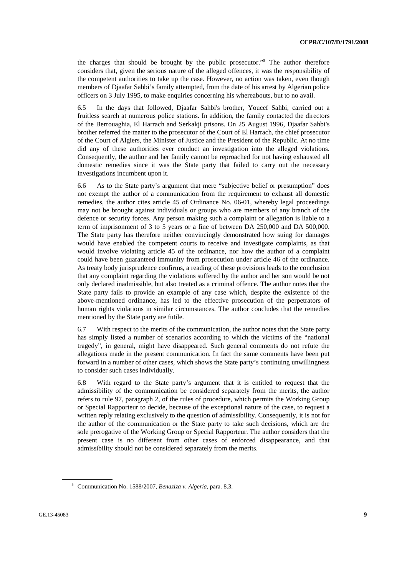the charges that should be brought by the public prosecutor."5 The author therefore considers that, given the serious nature of the alleged offences, it was the responsibility of the competent authorities to take up the case. However, no action was taken, even though members of Djaafar Sahbi's family attempted, from the date of his arrest by Algerian police officers on 3 July 1995, to make enquiries concerning his whereabouts, but to no avail.

6.5 In the days that followed, Djaafar Sahbi's brother, Youcef Sahbi, carried out a fruitless search at numerous police stations. In addition, the family contacted the directors of the Berrouaghia, El Harrach and Serkakji prisons. On 25 August 1996, Djaafar Sahbi's brother referred the matter to the prosecutor of the Court of El Harrach, the chief prosecutor of the Court of Algiers, the Minister of Justice and the President of the Republic. At no time did any of these authorities ever conduct an investigation into the alleged violations. Consequently, the author and her family cannot be reproached for not having exhausted all domestic remedies since it was the State party that failed to carry out the necessary investigations incumbent upon it.

6.6 As to the State party's argument that mere "subjective belief or presumption" does not exempt the author of a communication from the requirement to exhaust all domestic remedies, the author cites article 45 of Ordinance No. 06-01, whereby legal proceedings may not be brought against individuals or groups who are members of any branch of the defence or security forces. Any person making such a complaint or allegation is liable to a term of imprisonment of 3 to 5 years or a fine of between DA 250,000 and DA 500,000. The State party has therefore neither convincingly demonstrated how suing for damages would have enabled the competent courts to receive and investigate complaints, as that would involve violating article 45 of the ordinance, nor how the author of a complaint could have been guaranteed immunity from prosecution under article 46 of the ordinance. As treaty body jurisprudence confirms, a reading of these provisions leads to the conclusion that any complaint regarding the violations suffered by the author and her son would be not only declared inadmissible, but also treated as a criminal offence. The author notes that the State party fails to provide an example of any case which, despite the existence of the above-mentioned ordinance, has led to the effective prosecution of the perpetrators of human rights violations in similar circumstances. The author concludes that the remedies mentioned by the State party are futile.

6.7 With respect to the merits of the communication, the author notes that the State party has simply listed a number of scenarios according to which the victims of the "national tragedy", in general, might have disappeared. Such general comments do not refute the allegations made in the present communication. In fact the same comments have been put forward in a number of other cases, which shows the State party's continuing unwillingness to consider such cases individually.

6.8 With regard to the State party's argument that it is entitled to request that the admissibility of the communication be considered separately from the merits, the author refers to rule 97, paragraph 2, of the rules of procedure, which permits the Working Group or Special Rapporteur to decide, because of the exceptional nature of the case, to request a written reply relating exclusively to the question of admissibility. Consequently, it is not for the author of the communication or the State party to take such decisions, which are the sole prerogative of the Working Group or Special Rapporteur. The author considers that the present case is no different from other cases of enforced disappearance, and that admissibility should not be considered separately from the merits.

<sup>5</sup> Communication No. 1588/2007, *Benaziza v. Algeria*, para. 8.3.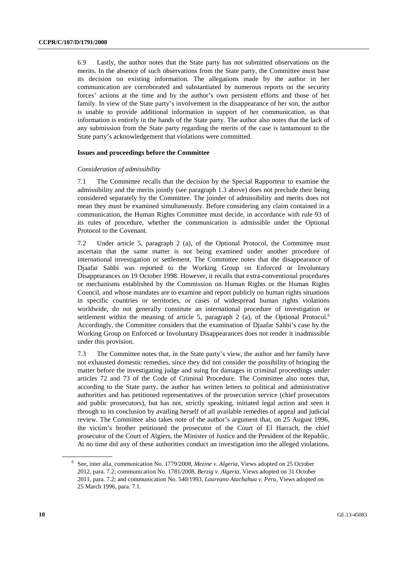6.9 Lastly, the author notes that the State party has not submitted observations on the merits. In the absence of such observations from the State party, the Committee must base its decision on existing information. The allegations made by the author in her communication are corroborated and substantiated by numerous reports on the security forces' actions at the time and by the author's own persistent efforts and those of her family. In view of the State party's involvement in the disappearance of her son, the author is unable to provide additional information in support of her communication, as that information is entirely in the hands of the State party. The author also notes that the lack of any submission from the State party regarding the merits of the case is tantamount to the State party's acknowledgement that violations were committed.

#### **Issues and proceedings before the Committee**

#### *Consideration of admissibility*

7.1 The Committee recalls that the decision by the Special Rapporteur to examine the admissibility and the merits jointly (see paragraph 1.3 above) does not preclude their being considered separately by the Committee. The joinder of admissibility and merits does not mean they must be examined simultaneously. Before considering any claim contained in a communication, the Human Rights Committee must decide, in accordance with rule 93 of its rules of procedure, whether the communication is admissible under the Optional Protocol to the Covenant.

7.2 Under article 5, paragraph 2 (a), of the Optional Protocol, the Committee must ascertain that the same matter is not being examined under another procedure of international investigation or settlement. The Committee notes that the disappearance of Djaafar Sahbi was reported to the Working Group on Enforced or Involuntary Disappearances on 19 October 1998. However, it recalls that extra-conventional procedures or mechanisms established by the Commission on Human Rights or the Human Rights Council, and whose mandates are to examine and report publicly on human rights situations in specific countries or territories, or cases of widespread human rights violations worldwide, do not generally constitute an international procedure of investigation or settlement within the meaning of article 5, paragraph 2 (a), of the Optional Protocol.<sup>6</sup> Accordingly, the Committee considers that the examination of Djaafar Sahbi's case by the Working Group on Enforced or Involuntary Disappearances does not render it inadmissible under this provision.

7.3 The Committee notes that, in the State party's view, the author and her family have not exhausted domestic remedies, since they did not consider the possibility of bringing the matter before the investigating judge and suing for damages in criminal proceedings under articles 72 and 73 of the Code of Criminal Procedure. The Committee also notes that, according to the State party, the author has written letters to political and administrative authorities and has petitioned representatives of the prosecution service (chief prosecutors and public prosecutors), but has not, strictly speaking, initiated legal action and seen it through to its conclusion by availing herself of all available remedies of appeal and judicial review. The Committee also takes note of the author's argument that, on 25 August 1996, the victim's brother petitioned the prosecutor of the Court of El Harrach, the chief prosecutor of the Court of Algiers, the Minister of Justice and the President of the Republic. At no time did any of these authorities conduct an investigation into the alleged violations.

<sup>6</sup> See, inter alia, communication No. 1779/2008, *Mezine v. Algeria*, Views adopted on 25 October 2012, para. 7.2; communication No. 1781/2008, *Berzig v. Algeria*, Views adopted on 31 October 2011, para. 7.2; and communication No. 540/1993, *Laureano Atachahua v. Peru*, Views adopted on 25 March 1996, para. 7.1.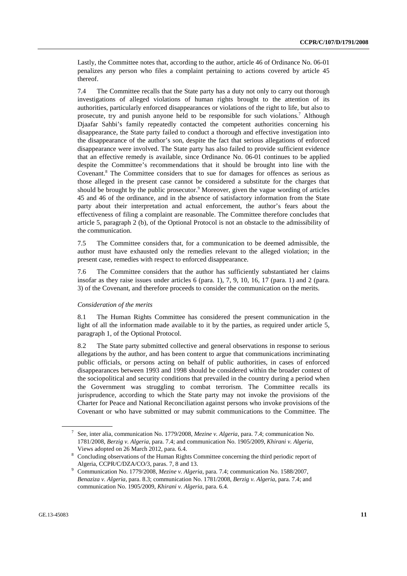Lastly, the Committee notes that, according to the author, article 46 of Ordinance No. 06-01 penalizes any person who files a complaint pertaining to actions covered by article 45 thereof.

7.4 The Committee recalls that the State party has a duty not only to carry out thorough investigations of alleged violations of human rights brought to the attention of its authorities, particularly enforced disappearances or violations of the right to life, but also to prosecute, try and punish anyone held to be responsible for such violations.<sup>7</sup> Although Djaafar Sahbi's family repeatedly contacted the competent authorities concerning his disappearance, the State party failed to conduct a thorough and effective investigation into the disappearance of the author's son, despite the fact that serious allegations of enforced disappearance were involved. The State party has also failed to provide sufficient evidence that an effective remedy is available, since Ordinance No. 06-01 continues to be applied despite the Committee's recommendations that it should be brought into line with the Covenant.<sup>8</sup> The Committee considers that to sue for damages for offences as serious as those alleged in the present case cannot be considered a substitute for the charges that should be brought by the public prosecutor.<sup>9</sup> Moreover, given the vague wording of articles 45 and 46 of the ordinance, and in the absence of satisfactory information from the State party about their interpretation and actual enforcement, the author's fears about the effectiveness of filing a complaint are reasonable. The Committee therefore concludes that article 5, paragraph 2 (b), of the Optional Protocol is not an obstacle to the admissibility of the communication.

7.5 The Committee considers that, for a communication to be deemed admissible, the author must have exhausted only the remedies relevant to the alleged violation; in the present case, remedies with respect to enforced disappearance.

7.6 The Committee considers that the author has sufficiently substantiated her claims insofar as they raise issues under articles 6 (para. 1), 7, 9, 10, 16, 17 (para. 1) and 2 (para. 3) of the Covenant, and therefore proceeds to consider the communication on the merits.

#### *Consideration of the merits*

8.1 The Human Rights Committee has considered the present communication in the light of all the information made available to it by the parties, as required under article 5, paragraph 1, of the Optional Protocol.

8.2 The State party submitted collective and general observations in response to serious allegations by the author, and has been content to argue that communications incriminating public officials, or persons acting on behalf of public authorities, in cases of enforced disappearances between 1993 and 1998 should be considered within the broader context of the sociopolitical and security conditions that prevailed in the country during a period when the Government was struggling to combat terrorism. The Committee recalls its jurisprudence, according to which the State party may not invoke the provisions of the Charter for Peace and National Reconciliation against persons who invoke provisions of the Covenant or who have submitted or may submit communications to the Committee. The

<sup>7</sup> See, inter alia, communication No. 1779/2008, *Mezine v. Algeria*, para. 7.4; communication No. 1781/2008, *Berzig v. Algeria*, para. 7.4; and communication No. 1905/2009, *Khirani v. Algeria*, Views adopted on 26 March 2012, para. 6.4. 8

<sup>&</sup>lt;sup>8</sup> Concluding observations of the Human Rights Committee concerning the third periodic report of Algeria, CCPR/C/DZA/CO/3, paras. 7, 8 and 13.

Communication No. 1779/2008, *Mezine v. Algeria*, para. 7.4; communication No. 1588/2007, *Benaziza v. Algeria*, para. 8.3; communication No. 1781/2008, *Berzig v. Algeria*, para. 7.4; and communication No. 1905/2009, *Khirani v. Algeria*, para. 6.4.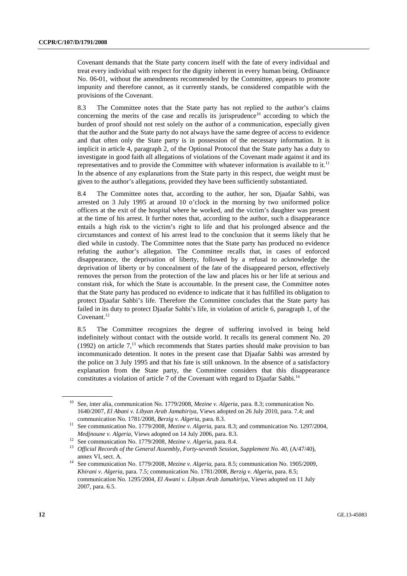Covenant demands that the State party concern itself with the fate of every individual and treat every individual with respect for the dignity inherent in every human being. Ordinance No. 06-01, without the amendments recommended by the Committee, appears to promote impunity and therefore cannot, as it currently stands, be considered compatible with the provisions of the Covenant.

8.3 The Committee notes that the State party has not replied to the author's claims concerning the merits of the case and recalls its jurisprudence<sup>10</sup> according to which the burden of proof should not rest solely on the author of a communication, especially given that the author and the State party do not always have the same degree of access to evidence and that often only the State party is in possession of the necessary information. It is implicit in article 4, paragraph 2, of the Optional Protocol that the State party has a duty to investigate in good faith all allegations of violations of the Covenant made against it and its representatives and to provide the Committee with whatever information is available to it.<sup>11</sup> In the absence of any explanations from the State party in this respect, due weight must be given to the author's allegations, provided they have been sufficiently substantiated.

8.4 The Committee notes that, according to the author, her son, Djaafar Sahbi, was arrested on 3 July 1995 at around 10 o'clock in the morning by two uniformed police officers at the exit of the hospital where he worked, and the victim's daughter was present at the time of his arrest. It further notes that, according to the author, such a disappearance entails a high risk to the victim's right to life and that his prolonged absence and the circumstances and context of his arrest lead to the conclusion that it seems likely that he died while in custody. The Committee notes that the State party has produced no evidence refuting the author's allegation. The Committee recalls that, in cases of enforced disappearance, the deprivation of liberty, followed by a refusal to acknowledge the deprivation of liberty or by concealment of the fate of the disappeared person, effectively removes the person from the protection of the law and places his or her life at serious and constant risk, for which the State is accountable. In the present case, the Committee notes that the State party has produced no evidence to indicate that it has fulfilled its obligation to protect Djaafar Sahbi's life. Therefore the Committee concludes that the State party has failed in its duty to protect Djaafar Sahbi's life, in violation of article 6, paragraph 1, of the Covenant. $^{12}$ 

8.5 The Committee recognizes the degree of suffering involved in being held indefinitely without contact with the outside world. It recalls its general comment No. 20 (1992) on article  $7<sup>13</sup>$  which recommends that States parties should make provision to ban incommunicado detention. It notes in the present case that Djaafar Sahbi was arrested by the police on 3 July 1995 and that his fate is still unknown. In the absence of a satisfactory explanation from the State party, the Committee considers that this disappearance constitutes a violation of article 7 of the Covenant with regard to Djaafar Sahbi.<sup>14</sup>

<sup>10</sup> See, inter alia, communication No. 1779/2008, *Mezine v. Algeria*, para. 8.3; communication No. 1640/2007, *El Abani v. Libyan Arab Jamahiriya*, Views adopted on 26 July 2010, para. 7.4; and

communication No. 1781/2008, *Berzig v. Algeria*, para. 8.3. See communication No. 1297/2004, *Medinoune v. Algeria*, Views adopted on 14 July 2006, para. 8.3.

<sup>&</sup>lt;sup>12</sup> See communication No. 1779/2008, Mezine v. Algeria, para. 8.4.<br><sup>13</sup> Official Records of the General Assembly, Forty-seventh Session, Supplement No. 40, (A/47/40),

annex VI, sect. A. 14 See communication No. 1779/2008, *Mezine v. Algeria*, para. 8.5; communication No. 1905/2009, *Khirani v. Algeria*, para. 7.5; communication No. 1781/2008, *Berzig v. Algeria*, para. 8.5; communication No. 1295/2004, *El Awani v. Libyan Arab Jamahiriya*, Views adopted on 11 July 2007, para. 6.5.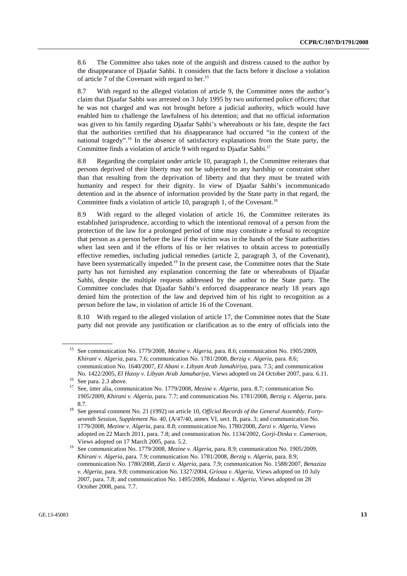8.6 The Committee also takes note of the anguish and distress caused to the author by the disappearance of Djaafar Sahbi. It considers that the facts before it disclose a violation of article 7 of the Covenant with regard to her.<sup>15</sup>

8.7 With regard to the alleged violation of article 9, the Committee notes the author's claim that Djaafar Sahbi was arrested on 3 July 1995 by two uniformed police officers; that he was not charged and was not brought before a judicial authority, which would have enabled him to challenge the lawfulness of his detention; and that no official information was given to his family regarding Djaafar Sahbi's whereabouts or his fate, despite the fact that the authorities certified that his disappearance had occurred "in the context of the national tragedy".<sup>16</sup> In the absence of satisfactory explanations from the State party, the Committee finds a violation of article 9 with regard to Diaafar Sahbi.<sup>17</sup>

8.8 Regarding the complaint under article 10, paragraph 1, the Committee reiterates that persons deprived of their liberty may not be subjected to any hardship or constraint other than that resulting from the deprivation of liberty and that they must be treated with humanity and respect for their dignity. In view of Djaafar Sahbi's incommunicado detention and in the absence of information provided by the State party in that regard, the Committee finds a violation of article 10, paragraph 1, of the Covenant.<sup>18</sup>

8.9 With regard to the alleged violation of article 16, the Committee reiterates its established jurisprudence, according to which the intentional removal of a person from the protection of the law for a prolonged period of time may constitute a refusal to recognize that person as a person before the law if the victim was in the hands of the State authorities when last seen and if the efforts of his or her relatives to obtain access to potentially effective remedies, including judicial remedies (article 2, paragraph 3, of the Covenant), have been systematically impeded.<sup>19</sup> In the present case, the Committee notes that the State party has not furnished any explanation concerning the fate or whereabouts of Djaafar Sahbi, despite the multiple requests addressed by the author to the State party. The Committee concludes that Djaafar Sahbi's enforced disappearance nearly 18 years ago denied him the protection of the law and deprived him of his right to recognition as a person before the law, in violation of article 16 of the Covenant.

8.10 With regard to the alleged violation of article 17, the Committee notes that the State party did not provide any justification or clarification as to the entry of officials into the

<sup>15</sup> See communication No. 1779/2008, *Mezine v. Algeria*, para. 8.6; communication No. 1905/2009, *Khirani v. Algeria*, para. 7.6; communication No. 1781/2008, *Berzig v. Algeria*, para. 8.6; communication No. 1640/2007, *El Abani v. Libyan Arab Jamahiriya*, para. 7.5; and communication

No. 1422/2005, *El Hassy v. Libyan Arab Jamahariya*, Views adopted on 24 October 2007, para. 6.11.<br><sup>16</sup> See para. 2.3 above.

<sup>17</sup> See, inter alia, communication No. 1779/2008, *Mezine v. Algeria*, para. 8.7; communication No. 1905/2009, *Khirani v. Algeria*, para. 7.7; and communication No. 1781/2008, *Berzig v. Algeria*, para.

<sup>8.7. 18</sup> See general comment No. 21 (1992) on article 10, *Official Records of the General Assembly, Fortyseventh Session, Supplement No. 40*, (A/47/40, annex VI, sect. B, para. 3; and communication No. 1779/2008, *Mezine v. Algeria*, para. 8.8; communication No. 1780/2008, *Zarzi v. Algeria*, Views adopted on 22 March 2011, para. 7.8; and communication No. 1134/2002, *Gorji-Dinka v. Cameroon*, Views adopted on 17 March 2005, para. 5.2.<br><sup>19</sup> See communication No. 1779/2008, *Mezine v. Algeria*, para. 8.9; communication No. 1905/2009,

*Khirani v. Algeria*, para. 7.9; communication No. 1781/2008, *Berzig v. Algeria*, para. 8.9; communication No. 1780/2008, *Zarzi v. Algeria*, para. 7.9; communication No. 1588/2007, *Benaziza v. Algeria*, para. 9.8; communication No. 1327/2004, *Grioua v. Algeria*, Views adopted on 10 July 2007, para. 7.8; and communication No. 1495/2006, *Madaoui v. Algeria*, Views adopted on 28 October 2008, para. 7.7.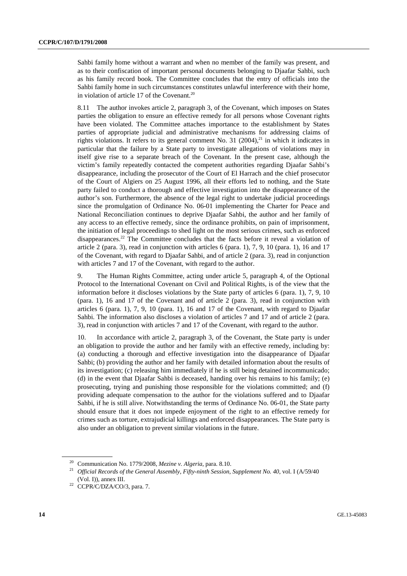Sahbi family home without a warrant and when no member of the family was present, and as to their confiscation of important personal documents belonging to Djaafar Sahbi, such as his family record book. The Committee concludes that the entry of officials into the Sahbi family home in such circumstances constitutes unlawful interference with their home, in violation of article 17 of the Covenant.<sup>20</sup>

8.11 The author invokes article 2, paragraph 3, of the Covenant, which imposes on States parties the obligation to ensure an effective remedy for all persons whose Covenant rights have been violated. The Committee attaches importance to the establishment by States parties of appropriate judicial and administrative mechanisms for addressing claims of rights violations. It refers to its general comment No. 31 (2004),<sup>21</sup> in which it indicates in particular that the failure by a State party to investigate allegations of violations may in itself give rise to a separate breach of the Covenant. In the present case, although the victim's family repeatedly contacted the competent authorities regarding Djaafar Sahbi's disappearance, including the prosecutor of the Court of El Harrach and the chief prosecutor of the Court of Algiers on 25 August 1996, all their efforts led to nothing, and the State party failed to conduct a thorough and effective investigation into the disappearance of the author's son. Furthermore, the absence of the legal right to undertake judicial proceedings since the promulgation of Ordinance No. 06-01 implementing the Charter for Peace and National Reconciliation continues to deprive Djaafar Sahbi, the author and her family of any access to an effective remedy, since the ordinance prohibits, on pain of imprisonment, the initiation of legal proceedings to shed light on the most serious crimes, such as enforced disappearances.<sup>22</sup> The Committee concludes that the facts before it reveal a violation of article 2 (para. 3), read in conjunction with articles 6 (para. 1), 7, 9, 10 (para. 1), 16 and 17 of the Covenant, with regard to Djaafar Sahbi, and of article 2 (para. 3), read in conjunction with articles 7 and 17 of the Covenant, with regard to the author.

9. The Human Rights Committee, acting under article 5, paragraph 4, of the Optional Protocol to the International Covenant on Civil and Political Rights, is of the view that the information before it discloses violations by the State party of articles 6 (para. 1), 7, 9, 10 (para. 1), 16 and 17 of the Covenant and of article 2 (para. 3), read in conjunction with articles 6 (para. 1), 7, 9, 10 (para. 1), 16 and 17 of the Covenant, with regard to Djaafar Sahbi. The information also discloses a violation of articles 7 and 17 and of article 2 (para. 3), read in conjunction with articles 7 and 17 of the Covenant, with regard to the author.

10. In accordance with article 2, paragraph 3, of the Covenant, the State party is under an obligation to provide the author and her family with an effective remedy, including by: (a) conducting a thorough and effective investigation into the disappearance of Djaafar Sahbi; (b) providing the author and her family with detailed information about the results of its investigation; (c) releasing him immediately if he is still being detained incommunicado; (d) in the event that Djaafar Sahbi is deceased, handing over his remains to his family; (e) prosecuting, trying and punishing those responsible for the violations committed; and (f) providing adequate compensation to the author for the violations suffered and to Djaafar Sahbi, if he is still alive. Notwithstanding the terms of Ordinance No. 06-01, the State party should ensure that it does not impede enjoyment of the right to an effective remedy for crimes such as torture, extrajudicial killings and enforced disappearances. The State party is also under an obligation to prevent similar violations in the future.

<sup>&</sup>lt;sup>20</sup> Communication No. 1779/2008, *Mezine v. Algeria*, para. 8.10.<br><sup>21</sup> *Official Records of the General Assembly, Fifty-ninth Session, Supplement No. 40*, vol. I (A/59/40 (Vol. I)), annex III.<br> $^{22}$  CCPR/C/DZA/CO/3, para. 7.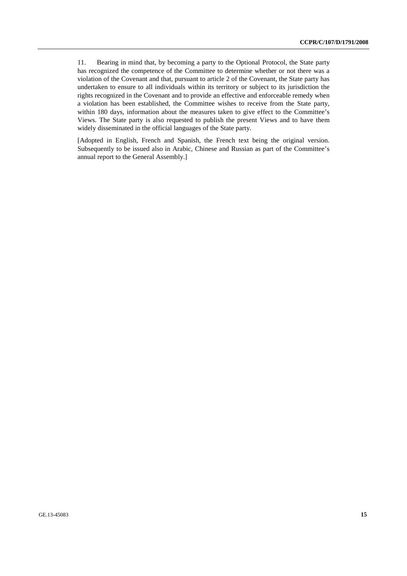11. Bearing in mind that, by becoming a party to the Optional Protocol, the State party has recognized the competence of the Committee to determine whether or not there was a violation of the Covenant and that, pursuant to article 2 of the Covenant, the State party has undertaken to ensure to all individuals within its territory or subject to its jurisdiction the rights recognized in the Covenant and to provide an effective and enforceable remedy when a violation has been established, the Committee wishes to receive from the State party, within 180 days, information about the measures taken to give effect to the Committee's Views. The State party is also requested to publish the present Views and to have them widely disseminated in the official languages of the State party.

[Adopted in English, French and Spanish, the French text being the original version. Subsequently to be issued also in Arabic, Chinese and Russian as part of the Committee's annual report to the General Assembly.]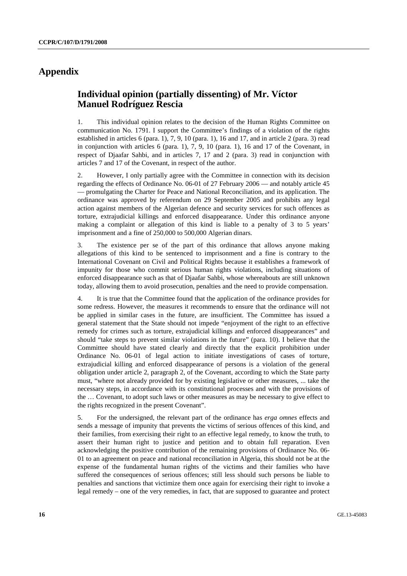## **Appendix**

## **Individual opinion (partially dissenting) of Mr. Víctor Manuel Rodríguez Rescia**

1. This individual opinion relates to the decision of the Human Rights Committee on communication No. 1791. I support the Committee's findings of a violation of the rights established in articles 6 (para. 1), 7, 9, 10 (para. 1), 16 and 17, and in article 2 (para. 3) read in conjunction with articles 6 (para. 1), 7, 9, 10 (para. 1), 16 and 17 of the Covenant, in respect of Djaafar Sahbi, and in articles 7, 17 and 2 (para. 3) read in conjunction with articles 7 and 17 of the Covenant, in respect of the author.

2. However, I only partially agree with the Committee in connection with its decision regarding the effects of Ordinance No. 06-01 of 27 February 2006 — and notably article 45 — promulgating the Charter for Peace and National Reconciliation, and its application. The ordinance was approved by referendum on 29 September 2005 and prohibits any legal action against members of the Algerian defence and security services for such offences as torture, extrajudicial killings and enforced disappearance. Under this ordinance anyone making a complaint or allegation of this kind is liable to a penalty of 3 to 5 years' imprisonment and a fine of 250,000 to 500,000 Algerian dinars.

3. The existence per se of the part of this ordinance that allows anyone making allegations of this kind to be sentenced to imprisonment and a fine is contrary to the International Covenant on Civil and Political Rights because it establishes a framework of impunity for those who commit serious human rights violations, including situations of enforced disappearance such as that of Djaafar Sahbi, whose whereabouts are still unknown today, allowing them to avoid prosecution, penalties and the need to provide compensation.

4. It is true that the Committee found that the application of the ordinance provides for some redress. However, the measures it recommends to ensure that the ordinance will not be applied in similar cases in the future, are insufficient. The Committee has issued a general statement that the State should not impede "enjoyment of the right to an effective remedy for crimes such as torture, extrajudicial killings and enforced disappearances" and should "take steps to prevent similar violations in the future" (para. 10). I believe that the Committee should have stated clearly and directly that the explicit prohibition under Ordinance No. 06-01 of legal action to initiate investigations of cases of torture, extrajudicial killing and enforced disappearance of persons is a violation of the general obligation under article 2, paragraph 2, of the Covenant, according to which the State party must, "where not already provided for by existing legislative or other measures, ... take the necessary steps, in accordance with its constitutional processes and with the provisions of the … Covenant, to adopt such laws or other measures as may be necessary to give effect to the rights recognized in the present Covenant".

5. For the undersigned, the relevant part of the ordinance has *erga omnes* effects and sends a message of impunity that prevents the victims of serious offences of this kind, and their families, from exercising their right to an effective legal remedy, to know the truth, to assert their human right to justice and petition and to obtain full reparation. Even acknowledging the positive contribution of the remaining provisions of Ordinance No. 06- 01 to an agreement on peace and national reconciliation in Algeria, this should not be at the expense of the fundamental human rights of the victims and their families who have suffered the consequences of serious offences; still less should such persons be liable to penalties and sanctions that victimize them once again for exercising their right to invoke a legal remedy – one of the very remedies, in fact, that are supposed to guarantee and protect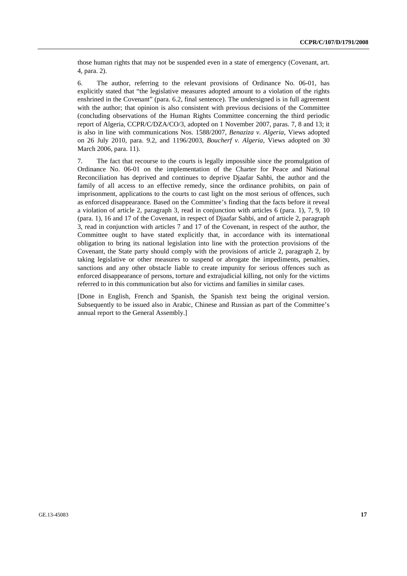those human rights that may not be suspended even in a state of emergency (Covenant, art. 4, para. 2).

6. The author, referring to the relevant provisions of Ordinance No. 06-01, has explicitly stated that "the legislative measures adopted amount to a violation of the rights enshrined in the Covenant" (para. 6.2, final sentence). The undersigned is in full agreement with the author; that opinion is also consistent with previous decisions of the Committee (concluding observations of the Human Rights Committee concerning the third periodic report of Algeria, CCPR/C/DZA/CO/3, adopted on 1 November 2007, paras. 7, 8 and 13; it is also in line with communications Nos. 1588/2007, *Benaziza v. Algeria*, Views adopted on 26 July 2010, para. 9.2, and 1196/2003, *Boucherf v. Algeria*, Views adopted on 30 March 2006, para. 11).

7. The fact that recourse to the courts is legally impossible since the promulgation of Ordinance No. 06-01 on the implementation of the Charter for Peace and National Reconciliation has deprived and continues to deprive Djaafar Sahbi, the author and the family of all access to an effective remedy, since the ordinance prohibits, on pain of imprisonment, applications to the courts to cast light on the most serious of offences, such as enforced disappearance. Based on the Committee's finding that the facts before it reveal a violation of article 2, paragraph 3, read in conjunction with articles 6 (para. 1), 7, 9, 10 (para. 1), 16 and 17 of the Covenant, in respect of Djaafar Sahbi, and of article 2, paragraph 3, read in conjunction with articles 7 and 17 of the Covenant, in respect of the author, the Committee ought to have stated explicitly that, in accordance with its international obligation to bring its national legislation into line with the protection provisions of the Covenant, the State party should comply with the provisions of article 2, paragraph 2, by taking legislative or other measures to suspend or abrogate the impediments, penalties, sanctions and any other obstacle liable to create impunity for serious offences such as enforced disappearance of persons, torture and extrajudicial killing, not only for the victims referred to in this communication but also for victims and families in similar cases.

[Done in English, French and Spanish, the Spanish text being the original version. Subsequently to be issued also in Arabic, Chinese and Russian as part of the Committee's annual report to the General Assembly.]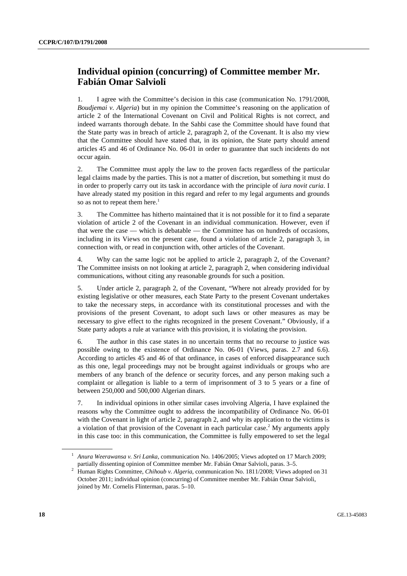## **Individual opinion (concurring) of Committee member Mr. Fabián Omar Salvioli**

1. I agree with the Committee's decision in this case (communication No. 1791/2008, *Boudjemai v. Algeria*) but in my opinion the Committee's reasoning on the application of article 2 of the International Covenant on Civil and Political Rights is not correct, and indeed warrants thorough debate. In the Sahbi case the Committee should have found that the State party was in breach of article 2, paragraph 2, of the Covenant. It is also my view that the Committee should have stated that, in its opinion, the State party should amend articles 45 and 46 of Ordinance No. 06-01 in order to guarantee that such incidents do not occur again.

2. The Committee must apply the law to the proven facts regardless of the particular legal claims made by the parties. This is not a matter of discretion, but something it must do in order to properly carry out its task in accordance with the principle of *iura novit curia*. I have already stated my position in this regard and refer to my legal arguments and grounds so as not to repeat them here.<sup>1</sup>

3. The Committee has hitherto maintained that it is not possible for it to find a separate violation of article 2 of the Covenant in an individual communication. However, even if that were the case — which is debatable — the Committee has on hundreds of occasions, including in its Views on the present case, found a violation of article 2, paragraph 3, in connection with, or read in conjunction with, other articles of the Covenant.

4. Why can the same logic not be applied to article 2, paragraph 2, of the Covenant? The Committee insists on not looking at article 2, paragraph 2, when considering individual communications, without citing any reasonable grounds for such a position.

5. Under article 2, paragraph 2, of the Covenant, "Where not already provided for by existing legislative or other measures, each State Party to the present Covenant undertakes to take the necessary steps, in accordance with its constitutional processes and with the provisions of the present Covenant, to adopt such laws or other measures as may be necessary to give effect to the rights recognized in the present Covenant." Obviously, if a State party adopts a rule at variance with this provision, it is violating the provision.

6. The author in this case states in no uncertain terms that no recourse to justice was possible owing to the existence of Ordinance No. 06-01 (Views, paras. 2.7 and 6.6). According to articles 45 and 46 of that ordinance, in cases of enforced disappearance such as this one, legal proceedings may not be brought against individuals or groups who are members of any branch of the defence or security forces, and any person making such a complaint or allegation is liable to a term of imprisonment of 3 to 5 years or a fine of between 250,000 and 500,000 Algerian dinars.

7. In individual opinions in other similar cases involving Algeria, I have explained the reasons why the Committee ought to address the incompatibility of Ordinance No. 06-01 with the Covenant in light of article 2, paragraph 2, and why its application to the victims is a violation of that provision of the Covenant in each particular case.<sup>2</sup> My arguments apply in this case too: in this communication, the Committee is fully empowered to set the legal

<sup>&</sup>lt;sup>1</sup> Anura Weerawansa v. Sri Lanka, communication No. 1406/2005; Views adopted on 17 March 2009; partially dissenting opinion of Committee member Mr. Fabián Omar Salvioli, paras. 3–5.<br><sup>2</sup> Human Diskte Committee Chile value de Alexaire communication Nr. 1911/2009: Virus ed

Human Rights Committee, *Chihoub v. Algeria*, communication No. 1811/2008; Views adopted on 31 October 2011; individual opinion (concurring) of Committee member Mr. Fabián Omar Salvioli, joined by Mr. Cornelis Flinterman, paras. 5–10.